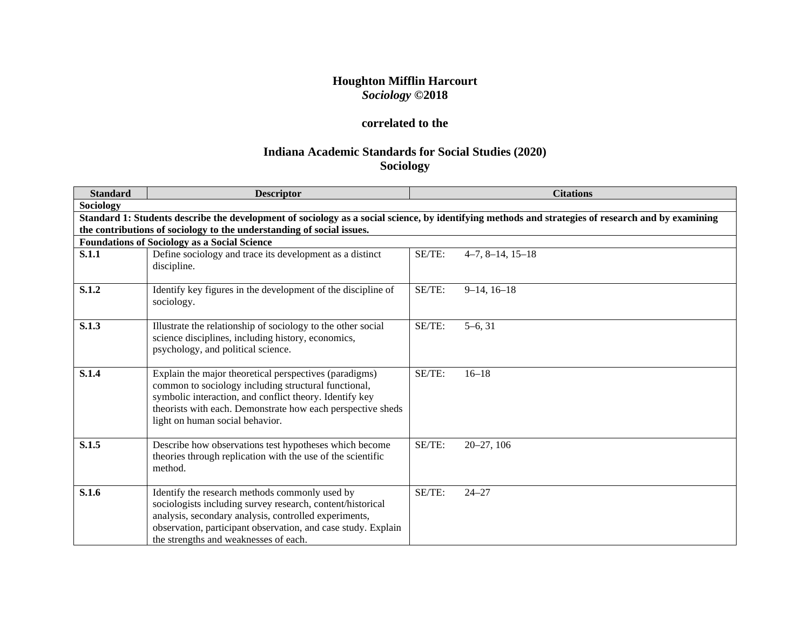# **Houghton Mifflin Harcourt** *Sociology* **©2018**

# **correlated to the**

# **Indiana Academic Standards for Social Studies (2020) Sociology**

| <b>Standard</b> | <b>Descriptor</b>                                                                                                                                                                                                                                                               |        | <b>Citations</b>                                                                                                                                   |
|-----------------|---------------------------------------------------------------------------------------------------------------------------------------------------------------------------------------------------------------------------------------------------------------------------------|--------|----------------------------------------------------------------------------------------------------------------------------------------------------|
| Sociology       |                                                                                                                                                                                                                                                                                 |        |                                                                                                                                                    |
|                 |                                                                                                                                                                                                                                                                                 |        | Standard 1: Students describe the development of sociology as a social science, by identifying methods and strategies of research and by examining |
|                 | the contributions of sociology to the understanding of social issues.                                                                                                                                                                                                           |        |                                                                                                                                                    |
|                 | <b>Foundations of Sociology as a Social Science</b>                                                                                                                                                                                                                             |        |                                                                                                                                                    |
| <b>S.1.1</b>    | Define sociology and trace its development as a distinct<br>discipline.                                                                                                                                                                                                         | SE/TE: | $4-7, 8-14, 15-18$                                                                                                                                 |
| S.1.2           | Identify key figures in the development of the discipline of<br>sociology.                                                                                                                                                                                                      | SE/TE: | $9-14, 16-18$                                                                                                                                      |
| S.1.3           | Illustrate the relationship of sociology to the other social<br>science disciplines, including history, economics,<br>psychology, and political science.                                                                                                                        | SE/TE: | $5-6, 31$                                                                                                                                          |
| S.1.4           | Explain the major theoretical perspectives (paradigms)<br>common to sociology including structural functional,<br>symbolic interaction, and conflict theory. Identify key<br>theorists with each. Demonstrate how each perspective sheds<br>light on human social behavior.     | SE/TE: | $16 - 18$                                                                                                                                          |
| S.1.5           | Describe how observations test hypotheses which become<br>theories through replication with the use of the scientific<br>method.                                                                                                                                                | SE/TE: | $20 - 27, 106$                                                                                                                                     |
| S.1.6           | Identify the research methods commonly used by<br>sociologists including survey research, content/historical<br>analysis, secondary analysis, controlled experiments,<br>observation, participant observation, and case study. Explain<br>the strengths and weaknesses of each. | SE/TE: | $24 - 27$                                                                                                                                          |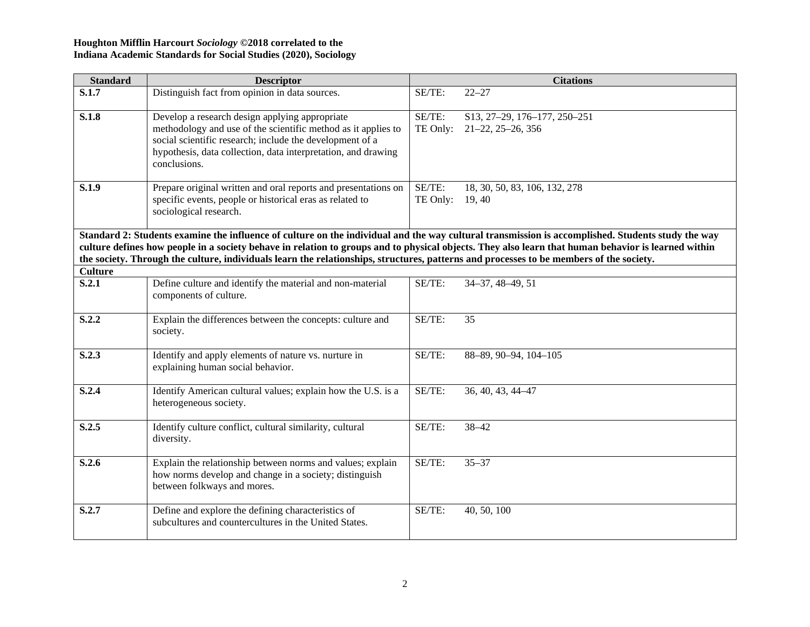| <b>Standard</b> | <b>Descriptor</b>                                                                                                                                                                                                                                                                              |                    | <b>Citations</b>                                                                                                                                  |
|-----------------|------------------------------------------------------------------------------------------------------------------------------------------------------------------------------------------------------------------------------------------------------------------------------------------------|--------------------|---------------------------------------------------------------------------------------------------------------------------------------------------|
| S.1.7           | Distinguish fact from opinion in data sources.                                                                                                                                                                                                                                                 | SE/TE:             | $22 - 27$                                                                                                                                         |
| S.1.8           | Develop a research design applying appropriate<br>methodology and use of the scientific method as it applies to<br>social scientific research; include the development of a<br>hypothesis, data collection, data interpretation, and drawing<br>conclusions.                                   | SE/TE:<br>TE Only: | S13, 27-29, 176-177, 250-251<br>$21 - 22, 25 - 26, 356$                                                                                           |
| S.1.9           | Prepare original written and oral reports and presentations on<br>specific events, people or historical eras as related to<br>sociological research.                                                                                                                                           | SE/TE:<br>TE Only: | 18, 30, 50, 83, 106, 132, 278<br>19, 40                                                                                                           |
|                 | culture defines how people in a society behave in relation to groups and to physical objects. They also learn that human behavior is learned within<br>the society. Through the culture, individuals learn the relationships, structures, patterns and processes to be members of the society. |                    | Standard 2: Students examine the influence of culture on the individual and the way cultural transmission is accomplished. Students study the way |
| <b>Culture</b>  |                                                                                                                                                                                                                                                                                                |                    |                                                                                                                                                   |
| S.2.1           | Define culture and identify the material and non-material<br>components of culture.                                                                                                                                                                                                            | SE/TE:             | 34-37, 48-49, 51                                                                                                                                  |
| S.2.2           | Explain the differences between the concepts: culture and<br>society.                                                                                                                                                                                                                          | SE/TE:             | 35                                                                                                                                                |
| S.2.3           | Identify and apply elements of nature vs. nurture in<br>explaining human social behavior.                                                                                                                                                                                                      | SE/TE:             | 88-89, 90-94, 104-105                                                                                                                             |
| S.2.4           | Identify American cultural values; explain how the U.S. is a<br>heterogeneous society.                                                                                                                                                                                                         | SE/TE:             | 36, 40, 43, 44-47                                                                                                                                 |
| S.2.5           | Identify culture conflict, cultural similarity, cultural<br>diversity.                                                                                                                                                                                                                         | SE/TE:             | $38 - 42$                                                                                                                                         |
| S.2.6           | Explain the relationship between norms and values; explain<br>how norms develop and change in a society; distinguish<br>between folkways and mores.                                                                                                                                            | SE/TE:             | $35 - 37$                                                                                                                                         |
| S.2.7           | Define and explore the defining characteristics of<br>subcultures and countercultures in the United States.                                                                                                                                                                                    | SE/TE:             | 40, 50, 100                                                                                                                                       |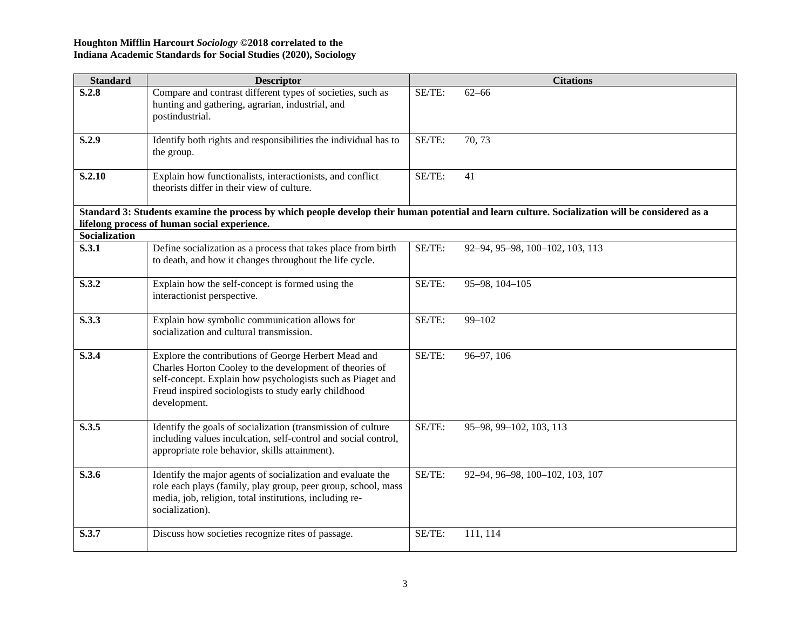| <b>Standard</b>               | <b>Descriptor</b>                                                                                                                                                                                                                                     |        | <b>Citations</b>                |
|-------------------------------|-------------------------------------------------------------------------------------------------------------------------------------------------------------------------------------------------------------------------------------------------------|--------|---------------------------------|
| S.2.8                         | Compare and contrast different types of societies, such as<br>hunting and gathering, agrarian, industrial, and<br>postindustrial.                                                                                                                     | SE/TE: | $62 - 66$                       |
| S.2.9                         | Identify both rights and responsibilities the individual has to<br>the group.                                                                                                                                                                         | SE/TE: | 70, 73                          |
| S.2.10                        | Explain how functionalists, interactionists, and conflict<br>theorists differ in their view of culture.                                                                                                                                               | SE/TE: | 41                              |
|                               | Standard 3: Students examine the process by which people develop their human potential and learn culture. Socialization will be considered as a                                                                                                       |        |                                 |
|                               | lifelong process of human social experience.                                                                                                                                                                                                          |        |                                 |
| <b>Socialization</b><br>S.3.1 |                                                                                                                                                                                                                                                       | SE/TE: | 92-94, 95-98, 100-102, 103, 113 |
|                               | Define socialization as a process that takes place from birth<br>to death, and how it changes throughout the life cycle.                                                                                                                              |        |                                 |
| S.3.2                         | Explain how the self-concept is formed using the<br>interactionist perspective.                                                                                                                                                                       | SE/TE: | 95-98, 104-105                  |
| S.3.3                         | Explain how symbolic communication allows for<br>socialization and cultural transmission.                                                                                                                                                             | SE/TE: | $99 - 102$                      |
| S.3.4                         | Explore the contributions of George Herbert Mead and<br>Charles Horton Cooley to the development of theories of<br>self-concept. Explain how psychologists such as Piaget and<br>Freud inspired sociologists to study early childhood<br>development. | SE/TE: | 96-97, 106                      |
| S.3.5                         | Identify the goals of socialization (transmission of culture<br>including values inculcation, self-control and social control,<br>appropriate role behavior, skills attainment).                                                                      | SE/TE: | 95-98, 99-102, 103, 113         |
| S.3.6                         | Identify the major agents of socialization and evaluate the<br>role each plays (family, play group, peer group, school, mass<br>media, job, religion, total institutions, including re-<br>socialization).                                            | SE/TE: | 92-94, 96-98, 100-102, 103, 107 |
| S.3.7                         | Discuss how societies recognize rites of passage.                                                                                                                                                                                                     | SE/TE: | 111, 114                        |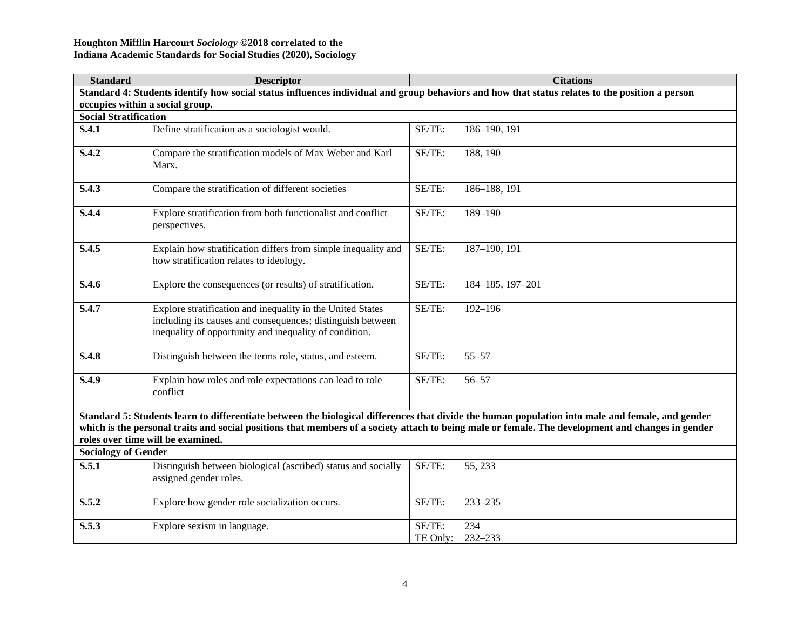| <b>Standard</b>                                                                                                                                                                                                                                                                                                                            | <b>Descriptor</b>                                                                                                                                                                  |                    | <b>Citations</b> |
|--------------------------------------------------------------------------------------------------------------------------------------------------------------------------------------------------------------------------------------------------------------------------------------------------------------------------------------------|------------------------------------------------------------------------------------------------------------------------------------------------------------------------------------|--------------------|------------------|
|                                                                                                                                                                                                                                                                                                                                            | Standard 4: Students identify how social status influences individual and group behaviors and how that status relates to the position a person                                     |                    |                  |
| occupies within a social group.                                                                                                                                                                                                                                                                                                            |                                                                                                                                                                                    |                    |                  |
| <b>Social Stratification</b>                                                                                                                                                                                                                                                                                                               |                                                                                                                                                                                    |                    |                  |
| S.4.1                                                                                                                                                                                                                                                                                                                                      | Define stratification as a sociologist would.                                                                                                                                      | SE/TE:             | 186-190, 191     |
| S.4.2                                                                                                                                                                                                                                                                                                                                      | Compare the stratification models of Max Weber and Karl<br>Marx.                                                                                                                   | SE/TE:             | 188, 190         |
| S.4.3                                                                                                                                                                                                                                                                                                                                      | Compare the stratification of different societies                                                                                                                                  | SE/TE:             | 186-188, 191     |
| S.4.4                                                                                                                                                                                                                                                                                                                                      | Explore stratification from both functionalist and conflict<br>perspectives.                                                                                                       | SE/TE:             | 189-190          |
| S.4.5                                                                                                                                                                                                                                                                                                                                      | Explain how stratification differs from simple inequality and<br>how stratification relates to ideology.                                                                           | SE/TE:             | 187-190, 191     |
| S.4.6                                                                                                                                                                                                                                                                                                                                      | Explore the consequences (or results) of stratification.                                                                                                                           | SE/TE:             | 184-185, 197-201 |
| S.4.7                                                                                                                                                                                                                                                                                                                                      | Explore stratification and inequality in the United States<br>including its causes and consequences; distinguish between<br>inequality of opportunity and inequality of condition. | SE/TE:             | $192 - 196$      |
| S.4.8                                                                                                                                                                                                                                                                                                                                      | Distinguish between the terms role, status, and esteem.                                                                                                                            | SE/TE:             | $55 - 57$        |
| S.4.9                                                                                                                                                                                                                                                                                                                                      | Explain how roles and role expectations can lead to role<br>conflict                                                                                                               | SE/TE:             | $56 - 57$        |
| Standard 5: Students learn to differentiate between the biological differences that divide the human population into male and female, and gender<br>which is the personal traits and social positions that members of a society attach to being male or female. The development and changes in gender<br>roles over time will be examined. |                                                                                                                                                                                    |                    |                  |
| <b>Sociology of Gender</b>                                                                                                                                                                                                                                                                                                                 |                                                                                                                                                                                    |                    |                  |
| S.5.1                                                                                                                                                                                                                                                                                                                                      | Distinguish between biological (ascribed) status and socially<br>assigned gender roles.                                                                                            | SE/TE:             | 55, 233          |
| S.5.2                                                                                                                                                                                                                                                                                                                                      | Explore how gender role socialization occurs.                                                                                                                                      | SE/TE:             | 233-235          |
| S.5.3                                                                                                                                                                                                                                                                                                                                      | Explore sexism in language.                                                                                                                                                        | SE/TE:<br>TE Only: | 234<br>232-233   |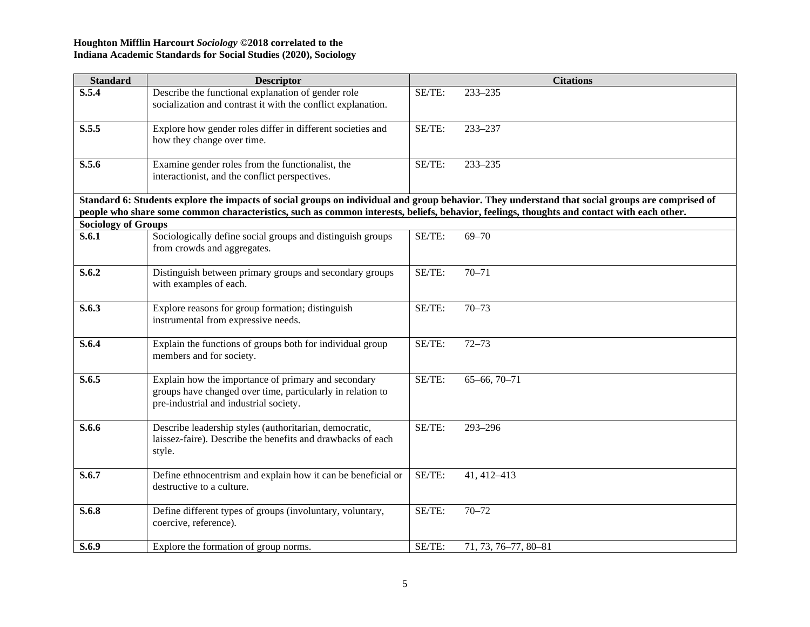| <b>Standard</b>            | <b>Descriptor</b>                                                                                                                                           |        | <b>Citations</b>                                                                                                                                |
|----------------------------|-------------------------------------------------------------------------------------------------------------------------------------------------------------|--------|-------------------------------------------------------------------------------------------------------------------------------------------------|
| S.5.4                      | Describe the functional explanation of gender role<br>socialization and contrast it with the conflict explanation.                                          | SE/TE: | 233-235                                                                                                                                         |
| S.5.5                      | Explore how gender roles differ in different societies and<br>how they change over time.                                                                    | SE/TE: | 233-237                                                                                                                                         |
| S.5.6                      | Examine gender roles from the functionalist, the<br>interactionist, and the conflict perspectives.                                                          | SE/TE: | 233-235                                                                                                                                         |
|                            | people who share some common characteristics, such as common interests, beliefs, behavior, feelings, thoughts and contact with each other.                  |        | Standard 6: Students explore the impacts of social groups on individual and group behavior. They understand that social groups are comprised of |
| <b>Sociology of Groups</b> |                                                                                                                                                             |        |                                                                                                                                                 |
| S.6.1                      | Sociologically define social groups and distinguish groups<br>from crowds and aggregates.                                                                   | SE/TE: | $69 - 70$                                                                                                                                       |
| S.6.2                      | Distinguish between primary groups and secondary groups<br>with examples of each.                                                                           | SE/TE: | $70 - 71$                                                                                                                                       |
| S.6.3                      | Explore reasons for group formation; distinguish<br>instrumental from expressive needs.                                                                     | SE/TE: | $70 - 73$                                                                                                                                       |
| S.6.4                      | Explain the functions of groups both for individual group<br>members and for society.                                                                       | SE/TE: | $72 - 73$                                                                                                                                       |
| S.6.5                      | Explain how the importance of primary and secondary<br>groups have changed over time, particularly in relation to<br>pre-industrial and industrial society. | SE/TE: | $65 - 66, 70 - 71$                                                                                                                              |
| S.6.6                      | Describe leadership styles (authoritarian, democratic,<br>laissez-faire). Describe the benefits and drawbacks of each<br>style.                             | SE/TE: | 293-296                                                                                                                                         |
| S.6.7                      | Define ethnocentrism and explain how it can be beneficial or<br>destructive to a culture.                                                                   | SE/TE: | 41, 412-413                                                                                                                                     |
| S.6.8                      | Define different types of groups (involuntary, voluntary,<br>coercive, reference).                                                                          | SE/TE: | $70 - 72$                                                                                                                                       |
| S.6.9                      | Explore the formation of group norms.                                                                                                                       | SE/TE: | 71, 73, 76-77, 80-81                                                                                                                            |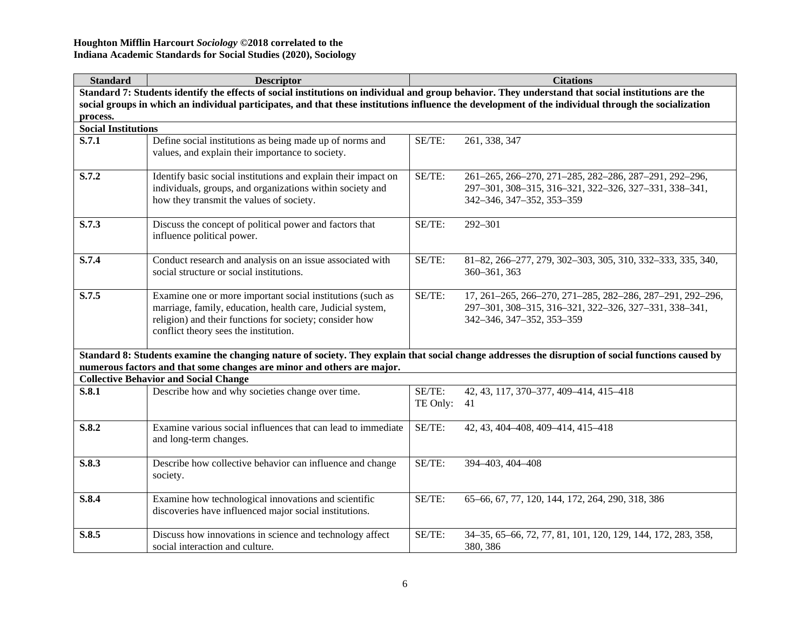| <b>Standard</b>                                                                                                                                      | <b>Descriptor</b>                                                                                                                                                                                                            |                    | <b>Citations</b>                                                                                                                                    |  |
|------------------------------------------------------------------------------------------------------------------------------------------------------|------------------------------------------------------------------------------------------------------------------------------------------------------------------------------------------------------------------------------|--------------------|-----------------------------------------------------------------------------------------------------------------------------------------------------|--|
|                                                                                                                                                      | Standard 7: Students identify the effects of social institutions on individual and group behavior. They understand that social institutions are the                                                                          |                    |                                                                                                                                                     |  |
| social groups in which an individual participates, and that these institutions influence the development of the individual through the socialization |                                                                                                                                                                                                                              |                    |                                                                                                                                                     |  |
| process.                                                                                                                                             |                                                                                                                                                                                                                              |                    |                                                                                                                                                     |  |
| <b>Social Institutions</b>                                                                                                                           |                                                                                                                                                                                                                              |                    |                                                                                                                                                     |  |
| S.7.1                                                                                                                                                | Define social institutions as being made up of norms and<br>values, and explain their importance to society.                                                                                                                 | SE/TE:             | 261, 338, 347                                                                                                                                       |  |
| S.7.2                                                                                                                                                | Identify basic social institutions and explain their impact on<br>individuals, groups, and organizations within society and<br>how they transmit the values of society.                                                      | SE/TE:             | 261-265, 266-270, 271-285, 282-286, 287-291, 292-296,<br>297-301, 308-315, 316-321, 322-326, 327-331, 338-341,<br>342-346, 347-352, 353-359         |  |
| S.7.3                                                                                                                                                | Discuss the concept of political power and factors that<br>influence political power.                                                                                                                                        | SE/TE:             | 292-301                                                                                                                                             |  |
| S.7.4                                                                                                                                                | Conduct research and analysis on an issue associated with<br>social structure or social institutions.                                                                                                                        | SE/TE:             | 81-82, 266-277, 279, 302-303, 305, 310, 332-333, 335, 340,<br>360-361, 363                                                                          |  |
| S.7.5                                                                                                                                                | Examine one or more important social institutions (such as<br>marriage, family, education, health care, Judicial system,<br>religion) and their functions for society; consider how<br>conflict theory sees the institution. | SE/TE:             | 17, 261-265, 266-270, 271-285, 282-286, 287-291, 292-296,<br>297-301, 308-315, 316-321, 322-326, 327-331, 338-341,<br>342-346, 347-352, 353-359     |  |
|                                                                                                                                                      | numerous factors and that some changes are minor and others are major.                                                                                                                                                       |                    | Standard 8: Students examine the changing nature of society. They explain that social change addresses the disruption of social functions caused by |  |
|                                                                                                                                                      | <b>Collective Behavior and Social Change</b>                                                                                                                                                                                 |                    |                                                                                                                                                     |  |
| S.8.1                                                                                                                                                | Describe how and why societies change over time.                                                                                                                                                                             | SE/TE:<br>TE Only: | 42, 43, 117, 370-377, 409-414, 415-418<br>41                                                                                                        |  |
| S.8.2                                                                                                                                                | Examine various social influences that can lead to immediate<br>and long-term changes.                                                                                                                                       | SE/TE:             | 42, 43, 404-408, 409-414, 415-418                                                                                                                   |  |
| S.8.3                                                                                                                                                | Describe how collective behavior can influence and change<br>society.                                                                                                                                                        | SE/TE:             | 394-403, 404-408                                                                                                                                    |  |
| S.8.4                                                                                                                                                | Examine how technological innovations and scientific<br>discoveries have influenced major social institutions.                                                                                                               | SE/TE:             | 65-66, 67, 77, 120, 144, 172, 264, 290, 318, 386                                                                                                    |  |
| S.8.5                                                                                                                                                | Discuss how innovations in science and technology affect<br>social interaction and culture.                                                                                                                                  | SE/TE:             | 34-35, 65-66, 72, 77, 81, 101, 120, 129, 144, 172, 283, 358,<br>380, 386                                                                            |  |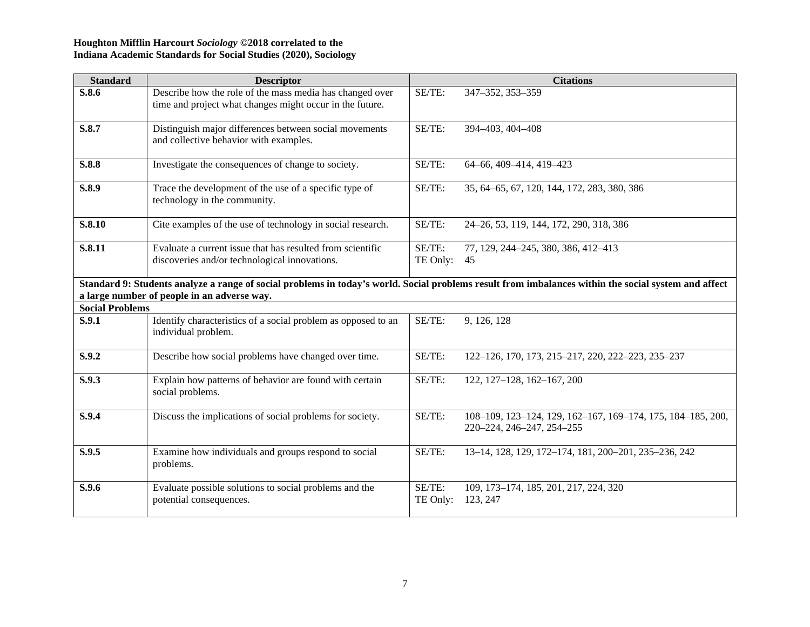| <b>Standard</b>        | <b>Descriptor</b>                                                                                                    |                    | <b>Citations</b>                                                                                                                                     |
|------------------------|----------------------------------------------------------------------------------------------------------------------|--------------------|------------------------------------------------------------------------------------------------------------------------------------------------------|
| S.8.6                  | Describe how the role of the mass media has changed over<br>time and project what changes might occur in the future. | SE/TE:             | 347-352, 353-359                                                                                                                                     |
| S.8.7                  | Distinguish major differences between social movements<br>and collective behavior with examples.                     | SE/TE:             | 394-403, 404-408                                                                                                                                     |
| S.8.8                  | Investigate the consequences of change to society.                                                                   | SE/TE:             | 64-66, 409-414, 419-423                                                                                                                              |
| S.8.9                  | Trace the development of the use of a specific type of<br>technology in the community.                               | SE/TE:             | 35, 64–65, 67, 120, 144, 172, 283, 380, 386                                                                                                          |
| S.8.10                 | Cite examples of the use of technology in social research.                                                           | SE/TE:             | 24-26, 53, 119, 144, 172, 290, 318, 386                                                                                                              |
| S.8.11                 | Evaluate a current issue that has resulted from scientific<br>discoveries and/or technological innovations.          | SE/TE:<br>TE Only: | 77, 129, 244–245, 380, 386, 412–413<br>45                                                                                                            |
|                        | a large number of people in an adverse way.                                                                          |                    | Standard 9: Students analyze a range of social problems in today's world. Social problems result from imbalances within the social system and affect |
| <b>Social Problems</b> |                                                                                                                      |                    |                                                                                                                                                      |
| S.9.1                  | Identify characteristics of a social problem as opposed to an<br>individual problem.                                 | SE/TE:             | 9, 126, 128                                                                                                                                          |
| S.9.2                  | Describe how social problems have changed over time.                                                                 | SE/TE:             | 122-126, 170, 173, 215-217, 220, 222-223, 235-237                                                                                                    |
| S.9.3                  | Explain how patterns of behavior are found with certain<br>social problems.                                          | SE/TE:             | 122, 127-128, 162-167, 200                                                                                                                           |
| S.9.4                  | Discuss the implications of social problems for society.                                                             | SE/TE:             | 108-109, 123-124, 129, 162-167, 169-174, 175, 184-185, 200,<br>220-224, 246-247, 254-255                                                             |
| S.9.5                  | Examine how individuals and groups respond to social<br>problems.                                                    | SE/TE:             | 13-14, 128, 129, 172-174, 181, 200-201, 235-236, 242                                                                                                 |
| S.9.6                  | Evaluate possible solutions to social problems and the<br>potential consequences.                                    | SE/TE:<br>TE Only: | 109, 173-174, 185, 201, 217, 224, 320<br>123, 247                                                                                                    |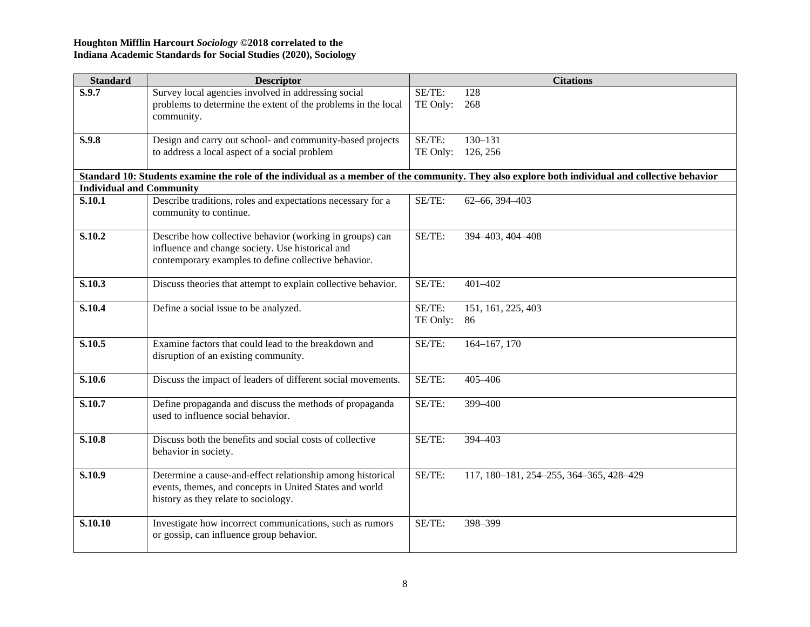| <b>Standard</b>                 | <b>Descriptor</b>                                                                                                                                |                    | <b>Citations</b>                        |
|---------------------------------|--------------------------------------------------------------------------------------------------------------------------------------------------|--------------------|-----------------------------------------|
| S.9.7                           | Survey local agencies involved in addressing social                                                                                              | SE/TE:             | 128                                     |
|                                 | problems to determine the extent of the problems in the local                                                                                    | TE Only:           | 268                                     |
|                                 | community.                                                                                                                                       |                    |                                         |
|                                 |                                                                                                                                                  |                    |                                         |
| S.9.8                           | Design and carry out school- and community-based projects                                                                                        | SE/TE:             | $130 - 131$                             |
|                                 | to address a local aspect of a social problem                                                                                                    | TE Only:           | 126, 256                                |
|                                 | Standard 10: Students examine the role of the individual as a member of the community. They also explore both individual and collective behavior |                    |                                         |
| <b>Individual and Community</b> |                                                                                                                                                  |                    |                                         |
| S.10.1                          | Describe traditions, roles and expectations necessary for a                                                                                      | SE/TE:             | 62-66, 394-403                          |
|                                 | community to continue.                                                                                                                           |                    |                                         |
|                                 |                                                                                                                                                  |                    |                                         |
| S.10.2                          | Describe how collective behavior (working in groups) can                                                                                         | SE/TE:             | 394-403, 404-408                        |
|                                 | influence and change society. Use historical and                                                                                                 |                    |                                         |
|                                 | contemporary examples to define collective behavior.                                                                                             |                    |                                         |
|                                 |                                                                                                                                                  |                    |                                         |
| S.10.3                          | Discuss theories that attempt to explain collective behavior.                                                                                    | SE/TE:             | 401-402                                 |
|                                 |                                                                                                                                                  |                    |                                         |
| S.10.4                          | Define a social issue to be analyzed.                                                                                                            | SE/TE:<br>TE Only: | 151, 161, 225, 403<br>86                |
|                                 |                                                                                                                                                  |                    |                                         |
| S.10.5                          | Examine factors that could lead to the breakdown and                                                                                             | SE/TE:             | 164-167, 170                            |
|                                 | disruption of an existing community.                                                                                                             |                    |                                         |
|                                 |                                                                                                                                                  |                    |                                         |
| S.10.6                          | Discuss the impact of leaders of different social movements.                                                                                     | SE/TE:             | 405-406                                 |
|                                 |                                                                                                                                                  |                    |                                         |
| S.10.7                          | Define propaganda and discuss the methods of propaganda                                                                                          | SE/TE:             | 399-400                                 |
|                                 | used to influence social behavior.                                                                                                               |                    |                                         |
| S.10.8                          | Discuss both the benefits and social costs of collective                                                                                         | SE/TE:             | 394-403                                 |
|                                 | behavior in society.                                                                                                                             |                    |                                         |
|                                 |                                                                                                                                                  |                    |                                         |
| S.10.9                          | Determine a cause-and-effect relationship among historical                                                                                       | SE/TE:             | 117, 180-181, 254-255, 364-365, 428-429 |
|                                 | events, themes, and concepts in United States and world                                                                                          |                    |                                         |
|                                 | history as they relate to sociology.                                                                                                             |                    |                                         |
|                                 |                                                                                                                                                  |                    |                                         |
| S.10.10                         | Investigate how incorrect communications, such as rumors                                                                                         | SE/TE:             | 398-399                                 |
|                                 | or gossip, can influence group behavior.                                                                                                         |                    |                                         |
|                                 |                                                                                                                                                  |                    |                                         |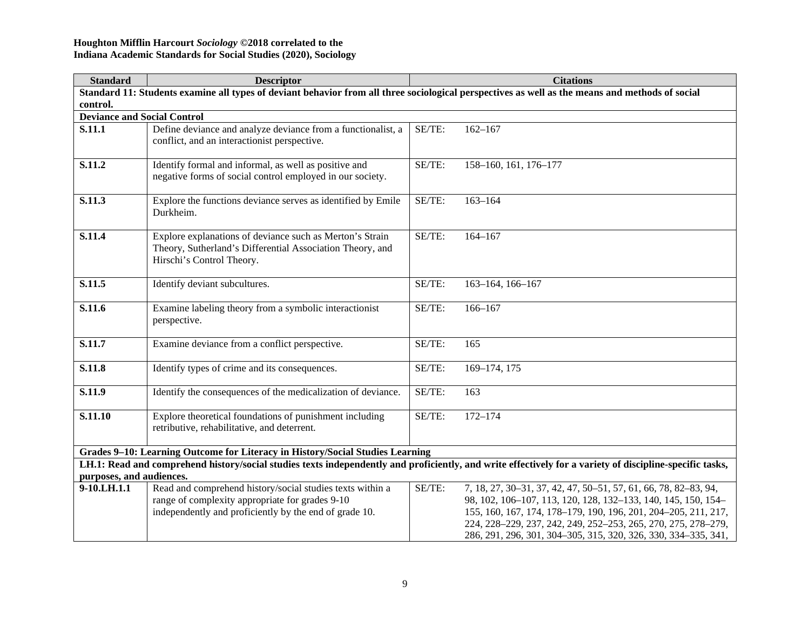| <b>Standard</b>                    | <b>Descriptor</b>                                                                                                                               |        | <b>Citations</b>                                                                                                                                         |  |  |
|------------------------------------|-------------------------------------------------------------------------------------------------------------------------------------------------|--------|----------------------------------------------------------------------------------------------------------------------------------------------------------|--|--|
|                                    | Standard 11: Students examine all types of deviant behavior from all three sociological perspectives as well as the means and methods of social |        |                                                                                                                                                          |  |  |
| control.                           |                                                                                                                                                 |        |                                                                                                                                                          |  |  |
| <b>Deviance and Social Control</b> |                                                                                                                                                 |        |                                                                                                                                                          |  |  |
| S.11.1                             | Define deviance and analyze deviance from a functionalist, a                                                                                    | SE/TE: | $162 - 167$                                                                                                                                              |  |  |
|                                    | conflict, and an interactionist perspective.                                                                                                    |        |                                                                                                                                                          |  |  |
|                                    |                                                                                                                                                 | SE/TE: |                                                                                                                                                          |  |  |
| S.11.2                             | Identify formal and informal, as well as positive and<br>negative forms of social control employed in our society.                              |        | 158-160, 161, 176-177                                                                                                                                    |  |  |
|                                    |                                                                                                                                                 |        |                                                                                                                                                          |  |  |
| S.11.3                             | Explore the functions deviance serves as identified by Emile                                                                                    | SE/TE: | $163 - 164$                                                                                                                                              |  |  |
|                                    | Durkheim.                                                                                                                                       |        |                                                                                                                                                          |  |  |
|                                    |                                                                                                                                                 |        |                                                                                                                                                          |  |  |
| S.11.4                             | Explore explanations of deviance such as Merton's Strain                                                                                        | SE/TE: | $164 - 167$                                                                                                                                              |  |  |
|                                    | Theory, Sutherland's Differential Association Theory, and                                                                                       |        |                                                                                                                                                          |  |  |
|                                    | Hirschi's Control Theory.                                                                                                                       |        |                                                                                                                                                          |  |  |
| S.11.5                             |                                                                                                                                                 | SE/TE: |                                                                                                                                                          |  |  |
|                                    | Identify deviant subcultures.                                                                                                                   |        | 163-164, 166-167                                                                                                                                         |  |  |
| S.11.6                             | Examine labeling theory from a symbolic interactionist                                                                                          | SE/TE: | $166 - 167$                                                                                                                                              |  |  |
|                                    | perspective.                                                                                                                                    |        |                                                                                                                                                          |  |  |
|                                    |                                                                                                                                                 |        |                                                                                                                                                          |  |  |
| S.11.7                             | Examine deviance from a conflict perspective.                                                                                                   | SE/TE: | 165                                                                                                                                                      |  |  |
|                                    |                                                                                                                                                 |        |                                                                                                                                                          |  |  |
| S.11.8                             | Identify types of crime and its consequences.                                                                                                   | SE/TE: | 169-174, 175                                                                                                                                             |  |  |
| S.11.9                             |                                                                                                                                                 |        | 163                                                                                                                                                      |  |  |
|                                    | Identify the consequences of the medicalization of deviance.                                                                                    | SE/TE: |                                                                                                                                                          |  |  |
| S.11.10                            | Explore theoretical foundations of punishment including                                                                                         | SE/TE: | $172 - 174$                                                                                                                                              |  |  |
|                                    | retributive, rehabilitative, and deterrent.                                                                                                     |        |                                                                                                                                                          |  |  |
|                                    |                                                                                                                                                 |        |                                                                                                                                                          |  |  |
|                                    | Grades 9-10: Learning Outcome for Literacy in History/Social Studies Learning                                                                   |        |                                                                                                                                                          |  |  |
|                                    |                                                                                                                                                 |        | LH.1: Read and comprehend history/social studies texts independently and proficiently, and write effectively for a variety of discipline-specific tasks, |  |  |
| purposes, and audiences.           |                                                                                                                                                 |        |                                                                                                                                                          |  |  |
| 9-10.LH.1.1                        | Read and comprehend history/social studies texts within a                                                                                       | SE/TE: | 7, 18, 27, 30-31, 37, 42, 47, 50-51, 57, 61, 66, 78, 82-83, 94,                                                                                          |  |  |
|                                    | range of complexity appropriate for grades 9-10                                                                                                 |        | 98, 102, 106-107, 113, 120, 128, 132-133, 140, 145, 150, 154-                                                                                            |  |  |
|                                    | independently and proficiently by the end of grade 10.                                                                                          |        | 155, 160, 167, 174, 178-179, 190, 196, 201, 204-205, 211, 217,                                                                                           |  |  |
|                                    |                                                                                                                                                 |        | 224, 228-229, 237, 242, 249, 252-253, 265, 270, 275, 278-279,                                                                                            |  |  |
|                                    |                                                                                                                                                 |        | 286, 291, 296, 301, 304–305, 315, 320, 326, 330, 334–335, 341,                                                                                           |  |  |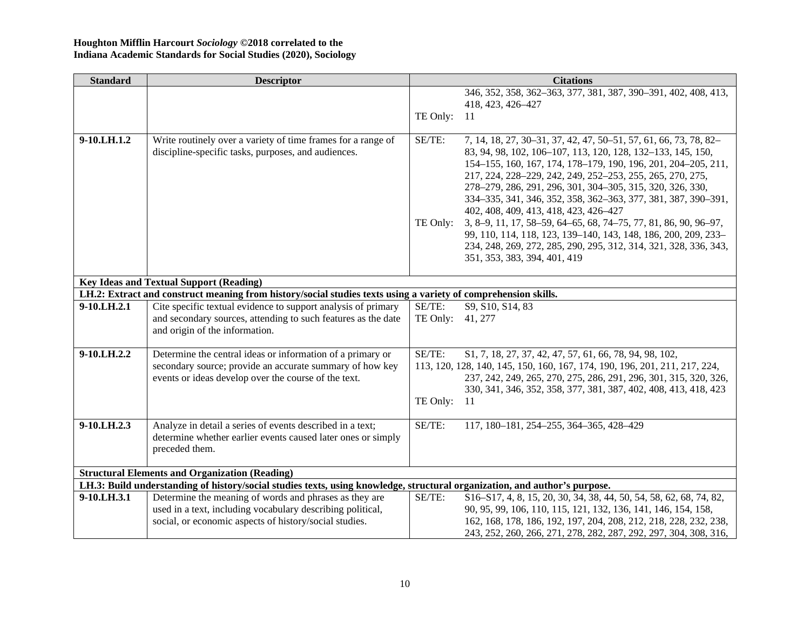| <b>Standard</b> | <b>Descriptor</b>                                                                                                          |          | <b>Citations</b>                                                                                                                       |
|-----------------|----------------------------------------------------------------------------------------------------------------------------|----------|----------------------------------------------------------------------------------------------------------------------------------------|
|                 |                                                                                                                            |          | 346, 352, 358, 362-363, 377, 381, 387, 390-391, 402, 408, 413,                                                                         |
|                 |                                                                                                                            |          | 418, 423, 426-427                                                                                                                      |
|                 |                                                                                                                            | TE Only: | -11                                                                                                                                    |
|                 |                                                                                                                            |          |                                                                                                                                        |
| 9-10.LH.1.2     | Write routinely over a variety of time frames for a range of                                                               | SE/TE:   | 7, 14, 18, 27, 30-31, 37, 42, 47, 50-51, 57, 61, 66, 73, 78, 82-                                                                       |
|                 | discipline-specific tasks, purposes, and audiences.                                                                        |          | 83, 94, 98, 102, 106-107, 113, 120, 128, 132-133, 145, 150,                                                                            |
|                 |                                                                                                                            |          | 154-155, 160, 167, 174, 178-179, 190, 196, 201, 204-205, 211,                                                                          |
|                 |                                                                                                                            |          | 217, 224, 228-229, 242, 249, 252-253, 255, 265, 270, 275,                                                                              |
|                 |                                                                                                                            |          | 278-279, 286, 291, 296, 301, 304-305, 315, 320, 326, 330,                                                                              |
|                 |                                                                                                                            |          | 334-335, 341, 346, 352, 358, 362-363, 377, 381, 387, 390-391,<br>402, 408, 409, 413, 418, 423, 426-427                                 |
|                 |                                                                                                                            | TE Only: | 3, 8–9, 11, 17, 58–59, 64–65, 68, 74–75, 77, 81, 86, 90, 96–97,                                                                        |
|                 |                                                                                                                            |          | 99, 110, 114, 118, 123, 139-140, 143, 148, 186, 200, 209, 233-                                                                         |
|                 |                                                                                                                            |          | 234, 248, 269, 272, 285, 290, 295, 312, 314, 321, 328, 336, 343,                                                                       |
|                 |                                                                                                                            |          | 351, 353, 383, 394, 401, 419                                                                                                           |
|                 |                                                                                                                            |          |                                                                                                                                        |
|                 | <b>Key Ideas and Textual Support (Reading)</b>                                                                             |          |                                                                                                                                        |
|                 | LH.2: Extract and construct meaning from history/social studies texts using a variety of comprehension skills.             |          |                                                                                                                                        |
| 9-10.LH.2.1     | Cite specific textual evidence to support analysis of primary                                                              | SE/TE:   | S9, S10, S14, 83                                                                                                                       |
|                 | and secondary sources, attending to such features as the date                                                              | TE Only: | 41, 277                                                                                                                                |
|                 | and origin of the information.                                                                                             |          |                                                                                                                                        |
| 9-10.LH.2.2     | Determine the central ideas or information of a primary or                                                                 | SE/TE:   |                                                                                                                                        |
|                 | secondary source; provide an accurate summary of how key                                                                   |          | \$1, 7, 18, 27, 37, 42, 47, 57, 61, 66, 78, 94, 98, 102,<br>113, 120, 128, 140, 145, 150, 160, 167, 174, 190, 196, 201, 211, 217, 224, |
|                 | events or ideas develop over the course of the text.                                                                       |          | 237, 242, 249, 265, 270, 275, 286, 291, 296, 301, 315, 320, 326,                                                                       |
|                 |                                                                                                                            |          | 330, 341, 346, 352, 358, 377, 381, 387, 402, 408, 413, 418, 423                                                                        |
|                 |                                                                                                                            | TE Only: | -11                                                                                                                                    |
|                 |                                                                                                                            |          |                                                                                                                                        |
| 9-10.LH.2.3     | Analyze in detail a series of events described in a text;                                                                  | SE/TE:   | 117, 180-181, 254-255, 364-365, 428-429                                                                                                |
|                 | determine whether earlier events caused later ones or simply                                                               |          |                                                                                                                                        |
|                 | preceded them.                                                                                                             |          |                                                                                                                                        |
|                 |                                                                                                                            |          |                                                                                                                                        |
|                 | <b>Structural Elements and Organization (Reading)</b>                                                                      |          |                                                                                                                                        |
|                 | LH.3: Build understanding of history/social studies texts, using knowledge, structural organization, and author's purpose. |          |                                                                                                                                        |
| 9-10.LH.3.1     | Determine the meaning of words and phrases as they are                                                                     | SE/TE:   | \$16-\$17, 4, 8, 15, 20, 30, 34, 38, 44, 50, 54, 58, 62, 68, 74, 82,                                                                   |
|                 | used in a text, including vocabulary describing political,                                                                 |          | 90, 95, 99, 106, 110, 115, 121, 132, 136, 141, 146, 154, 158,                                                                          |
|                 | social, or economic aspects of history/social studies.                                                                     |          | 162, 168, 178, 186, 192, 197, 204, 208, 212, 218, 228, 232, 238,                                                                       |
|                 |                                                                                                                            |          | 243, 252, 260, 266, 271, 278, 282, 287, 292, 297, 304, 308, 316,                                                                       |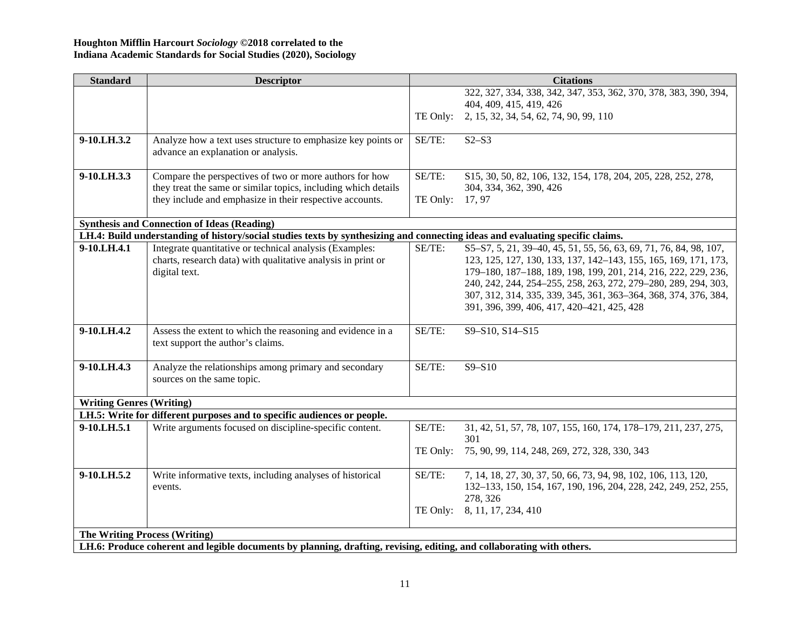| <b>Standard</b>                      | <b>Descriptor</b>                                                                                                              |          | <b>Citations</b>                                                       |
|--------------------------------------|--------------------------------------------------------------------------------------------------------------------------------|----------|------------------------------------------------------------------------|
|                                      |                                                                                                                                |          | 322, 327, 334, 338, 342, 347, 353, 362, 370, 378, 383, 390, 394,       |
|                                      |                                                                                                                                |          | 404, 409, 415, 419, 426                                                |
|                                      |                                                                                                                                | TE Only: | 2, 15, 32, 34, 54, 62, 74, 90, 99, 110                                 |
|                                      |                                                                                                                                |          |                                                                        |
| 9-10.LH.3.2                          | Analyze how a text uses structure to emphasize key points or                                                                   | SE/TE:   | $S2-S3$                                                                |
|                                      | advance an explanation or analysis.                                                                                            |          |                                                                        |
| 9-10.LH.3.3                          | Compare the perspectives of two or more authors for how                                                                        | SE/TE:   | \$15, 30, 50, 82, 106, 132, 154, 178, 204, 205, 228, 252, 278,         |
|                                      | they treat the same or similar topics, including which details                                                                 |          | 304, 334, 362, 390, 426                                                |
|                                      | they include and emphasize in their respective accounts.                                                                       | TE Only: | 17, 97                                                                 |
|                                      |                                                                                                                                |          |                                                                        |
|                                      | <b>Synthesis and Connection of Ideas (Reading)</b>                                                                             |          |                                                                        |
|                                      | LH.4: Build understanding of history/social studies texts by synthesizing and connecting ideas and evaluating specific claims. |          |                                                                        |
| 9-10.LH.4.1                          | Integrate quantitative or technical analysis (Examples:                                                                        | SE/TE:   | \$5-\$7, 5, 21, 39-40, 45, 51, 55, 56, 63, 69, 71, 76, 84, 98, 107,    |
|                                      | charts, research data) with qualitative analysis in print or                                                                   |          | 123, 125, 127, 130, 133, 137, 142-143, 155, 165, 169, 171, 173,        |
|                                      | digital text.                                                                                                                  |          | 179-180, 187-188, 189, 198, 199, 201, 214, 216, 222, 229, 236,         |
|                                      |                                                                                                                                |          | 240, 242, 244, 254-255, 258, 263, 272, 279-280, 289, 294, 303,         |
|                                      |                                                                                                                                |          | 307, 312, 314, 335, 339, 345, 361, 363-364, 368, 374, 376, 384,        |
|                                      |                                                                                                                                |          | 391, 396, 399, 406, 417, 420-421, 425, 428                             |
| 9-10.LH.4.2                          | Assess the extent to which the reasoning and evidence in a                                                                     | SE/TE:   | S9-S10, S14-S15                                                        |
|                                      | text support the author's claims.                                                                                              |          |                                                                        |
|                                      |                                                                                                                                |          |                                                                        |
| 9-10.LH.4.3                          | Analyze the relationships among primary and secondary                                                                          | SE/TE:   | $S9 - S10$                                                             |
|                                      | sources on the same topic.                                                                                                     |          |                                                                        |
|                                      |                                                                                                                                |          |                                                                        |
| <b>Writing Genres (Writing)</b>      |                                                                                                                                |          |                                                                        |
|                                      | LH.5: Write for different purposes and to specific audiences or people.                                                        |          |                                                                        |
| 9-10.LH.5.1                          | Write arguments focused on discipline-specific content.                                                                        | SE/TE:   | 31, 42, 51, 57, 78, 107, 155, 160, 174, 178-179, 211, 237, 275,<br>301 |
|                                      |                                                                                                                                | TE Only: | 75, 90, 99, 114, 248, 269, 272, 328, 330, 343                          |
| 9-10.LH.5.2                          | Write informative texts, including analyses of historical                                                                      | SE/TE:   | 7, 14, 18, 27, 30, 37, 50, 66, 73, 94, 98, 102, 106, 113, 120,         |
|                                      | events.                                                                                                                        |          | 132-133, 150, 154, 167, 190, 196, 204, 228, 242, 249, 252, 255,        |
|                                      |                                                                                                                                |          | 278, 326                                                               |
|                                      |                                                                                                                                | TE Only: | 8, 11, 17, 234, 410                                                    |
|                                      |                                                                                                                                |          |                                                                        |
| <b>The Writing Process (Writing)</b> |                                                                                                                                |          |                                                                        |
|                                      | LH.6: Produce coherent and legible documents by planning, drafting, revising, editing, and collaborating with others.          |          |                                                                        |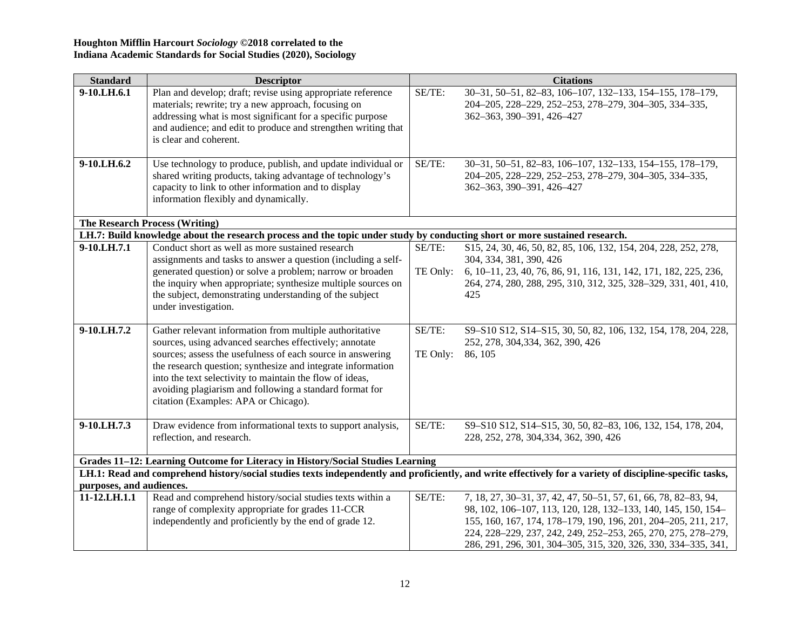| <b>Descriptor</b>                                                                                                                                                                                                                                                                                          |                                                                                                                                                                                                                                                                                                                                                                                                                       | <b>Citations</b>                                                                                                                                                                                                                                                                                                                                                                             |
|------------------------------------------------------------------------------------------------------------------------------------------------------------------------------------------------------------------------------------------------------------------------------------------------------------|-----------------------------------------------------------------------------------------------------------------------------------------------------------------------------------------------------------------------------------------------------------------------------------------------------------------------------------------------------------------------------------------------------------------------|----------------------------------------------------------------------------------------------------------------------------------------------------------------------------------------------------------------------------------------------------------------------------------------------------------------------------------------------------------------------------------------------|
| Plan and develop; draft; revise using appropriate reference<br>materials; rewrite; try a new approach, focusing on<br>addressing what is most significant for a specific purpose<br>and audience; and edit to produce and strengthen writing that<br>is clear and coherent.                                | SE/TE:                                                                                                                                                                                                                                                                                                                                                                                                                | 30-31, 50-51, 82-83, 106-107, 132-133, 154-155, 178-179,<br>204-205, 228-229, 252-253, 278-279, 304-305, 334-335,<br>362-363, 390-391, 426-427                                                                                                                                                                                                                                               |
| Use technology to produce, publish, and update individual or<br>shared writing products, taking advantage of technology's<br>capacity to link to other information and to display<br>information flexibly and dynamically.                                                                                 | SE/TE:                                                                                                                                                                                                                                                                                                                                                                                                                | 30-31, 50-51, 82-83, 106-107, 132-133, 154-155, 178-179,<br>204-205, 228-229, 252-253, 278-279, 304-305, 334-335,<br>362-363, 390-391, 426-427                                                                                                                                                                                                                                               |
|                                                                                                                                                                                                                                                                                                            |                                                                                                                                                                                                                                                                                                                                                                                                                       |                                                                                                                                                                                                                                                                                                                                                                                              |
|                                                                                                                                                                                                                                                                                                            |                                                                                                                                                                                                                                                                                                                                                                                                                       |                                                                                                                                                                                                                                                                                                                                                                                              |
| assignments and tasks to answer a question (including a self-<br>generated question) or solve a problem; narrow or broaden                                                                                                                                                                                 | TE Only:                                                                                                                                                                                                                                                                                                                                                                                                              | \$15, 24, 30, 46, 50, 82, 85, 106, 132, 154, 204, 228, 252, 278,<br>304, 334, 381, 390, 426<br>6, 10-11, 23, 40, 76, 86, 91, 116, 131, 142, 171, 182, 225, 236,                                                                                                                                                                                                                              |
| the subject, demonstrating understanding of the subject<br>under investigation.                                                                                                                                                                                                                            |                                                                                                                                                                                                                                                                                                                                                                                                                       | 264, 274, 280, 288, 295, 310, 312, 325, 328-329, 331, 401, 410,<br>425                                                                                                                                                                                                                                                                                                                       |
| Gather relevant information from multiple authoritative<br>sources, using advanced searches effectively; annotate<br>sources; assess the usefulness of each source in answering<br>the research question; synthesize and integrate information<br>into the text selectivity to maintain the flow of ideas, | SE/TE:<br>TE Only:                                                                                                                                                                                                                                                                                                                                                                                                    | S9-S10 S12, S14-S15, 30, 50, 82, 106, 132, 154, 178, 204, 228,<br>252, 278, 304, 334, 362, 390, 426<br>86, 105                                                                                                                                                                                                                                                                               |
| citation (Examples: APA or Chicago).                                                                                                                                                                                                                                                                       |                                                                                                                                                                                                                                                                                                                                                                                                                       |                                                                                                                                                                                                                                                                                                                                                                                              |
| Draw evidence from informational texts to support analysis,<br>reflection, and research.                                                                                                                                                                                                                   | SE/TE:                                                                                                                                                                                                                                                                                                                                                                                                                | S9-S10 S12, S14-S15, 30, 50, 82-83, 106, 132, 154, 178, 204,<br>228, 252, 278, 304, 334, 362, 390, 426                                                                                                                                                                                                                                                                                       |
|                                                                                                                                                                                                                                                                                                            |                                                                                                                                                                                                                                                                                                                                                                                                                       |                                                                                                                                                                                                                                                                                                                                                                                              |
|                                                                                                                                                                                                                                                                                                            |                                                                                                                                                                                                                                                                                                                                                                                                                       |                                                                                                                                                                                                                                                                                                                                                                                              |
|                                                                                                                                                                                                                                                                                                            |                                                                                                                                                                                                                                                                                                                                                                                                                       |                                                                                                                                                                                                                                                                                                                                                                                              |
|                                                                                                                                                                                                                                                                                                            |                                                                                                                                                                                                                                                                                                                                                                                                                       | 7, 18, 27, 30-31, 37, 42, 47, 50-51, 57, 61, 66, 78, 82-83, 94,                                                                                                                                                                                                                                                                                                                              |
|                                                                                                                                                                                                                                                                                                            |                                                                                                                                                                                                                                                                                                                                                                                                                       | 98, 102, 106-107, 113, 120, 128, 132-133, 140, 145, 150, 154-                                                                                                                                                                                                                                                                                                                                |
|                                                                                                                                                                                                                                                                                                            |                                                                                                                                                                                                                                                                                                                                                                                                                       | 155, 160, 167, 174, 178-179, 190, 196, 201, 204-205, 211, 217,                                                                                                                                                                                                                                                                                                                               |
|                                                                                                                                                                                                                                                                                                            |                                                                                                                                                                                                                                                                                                                                                                                                                       | 224, 228-229, 237, 242, 249, 252-253, 265, 270, 275, 278-279,<br>286, 291, 296, 301, 304-305, 315, 320, 326, 330, 334-335, 341,                                                                                                                                                                                                                                                              |
|                                                                                                                                                                                                                                                                                                            | The Research Process (Writing)<br>Conduct short as well as more sustained research<br>the inquiry when appropriate; synthesize multiple sources on<br>avoiding plagiarism and following a standard format for<br>purposes, and audiences.<br>Read and comprehend history/social studies texts within a<br>range of complexity appropriate for grades 11-CCR<br>independently and proficiently by the end of grade 12. | LH.7: Build knowledge about the research process and the topic under study by conducting short or more sustained research.<br>SE/TE:<br>Grades 11-12: Learning Outcome for Literacy in History/Social Studies Learning<br>LH.1: Read and comprehend history/social studies texts independently and proficiently, and write effectively for a variety of discipline-specific tasks,<br>SE/TE: |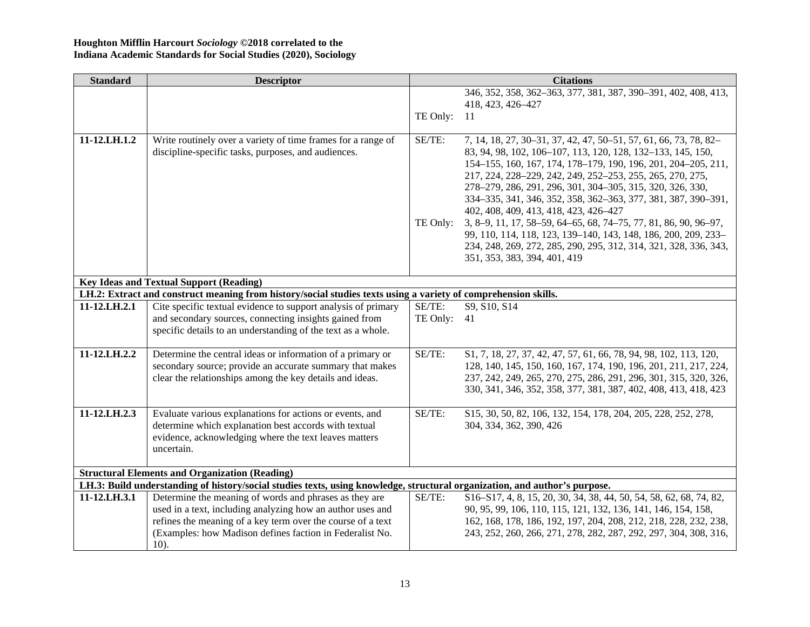| <b>Standard</b>     | <b>Descriptor</b>                                                                                                          | <b>Citations</b> |                                                                                                                                     |  |
|---------------------|----------------------------------------------------------------------------------------------------------------------------|------------------|-------------------------------------------------------------------------------------------------------------------------------------|--|
|                     |                                                                                                                            |                  | 346, 352, 358, 362-363, 377, 381, 387, 390-391, 402, 408, 413,                                                                      |  |
|                     |                                                                                                                            |                  | 418, 423, 426-427                                                                                                                   |  |
|                     |                                                                                                                            | TE Only:         | -11                                                                                                                                 |  |
|                     |                                                                                                                            |                  |                                                                                                                                     |  |
| $11 - 12$ , LH, 1.2 | Write routinely over a variety of time frames for a range of                                                               | SE/TE:           | 7, 14, 18, 27, 30-31, 37, 42, 47, 50-51, 57, 61, 66, 73, 78, 82-                                                                    |  |
|                     | discipline-specific tasks, purposes, and audiences.                                                                        |                  | 83, 94, 98, 102, 106-107, 113, 120, 128, 132-133, 145, 150,                                                                         |  |
|                     |                                                                                                                            |                  | 154-155, 160, 167, 174, 178-179, 190, 196, 201, 204-205, 211,                                                                       |  |
|                     |                                                                                                                            |                  | 217, 224, 228-229, 242, 249, 252-253, 255, 265, 270, 275,                                                                           |  |
|                     |                                                                                                                            |                  | 278-279, 286, 291, 296, 301, 304-305, 315, 320, 326, 330,<br>334-335, 341, 346, 352, 358, 362-363, 377, 381, 387, 390-391,          |  |
|                     |                                                                                                                            |                  | 402, 408, 409, 413, 418, 423, 426-427                                                                                               |  |
|                     |                                                                                                                            | TE Only:         | 3, 8–9, 11, 17, 58–59, 64–65, 68, 74–75, 77, 81, 86, 90, 96–97,                                                                     |  |
|                     |                                                                                                                            |                  | 99, 110, 114, 118, 123, 139-140, 143, 148, 186, 200, 209, 233-                                                                      |  |
|                     |                                                                                                                            |                  | 234, 248, 269, 272, 285, 290, 295, 312, 314, 321, 328, 336, 343,                                                                    |  |
|                     |                                                                                                                            |                  | 351, 353, 383, 394, 401, 419                                                                                                        |  |
|                     |                                                                                                                            |                  |                                                                                                                                     |  |
|                     | <b>Key Ideas and Textual Support (Reading)</b>                                                                             |                  |                                                                                                                                     |  |
|                     | LH.2: Extract and construct meaning from history/social studies texts using a variety of comprehension skills.             |                  |                                                                                                                                     |  |
| 11-12.LH.2.1        | Cite specific textual evidence to support analysis of primary                                                              | SE/TE:           | S9, S10, S14                                                                                                                        |  |
|                     | and secondary sources, connecting insights gained from                                                                     | TE Only:         | 41                                                                                                                                  |  |
|                     | specific details to an understanding of the text as a whole.                                                               |                  |                                                                                                                                     |  |
|                     |                                                                                                                            |                  |                                                                                                                                     |  |
| 11-12.LH.2.2        | Determine the central ideas or information of a primary or                                                                 | SE/TE:           | \$1, 7, 18, 27, 37, 42, 47, 57, 61, 66, 78, 94, 98, 102, 113, 120,                                                                  |  |
|                     | secondary source; provide an accurate summary that makes                                                                   |                  | 128, 140, 145, 150, 160, 167, 174, 190, 196, 201, 211, 217, 224,                                                                    |  |
|                     | clear the relationships among the key details and ideas.                                                                   |                  | 237, 242, 249, 265, 270, 275, 286, 291, 296, 301, 315, 320, 326,<br>330, 341, 346, 352, 358, 377, 381, 387, 402, 408, 413, 418, 423 |  |
|                     |                                                                                                                            |                  |                                                                                                                                     |  |
| 11-12.LH.2.3        | Evaluate various explanations for actions or events, and                                                                   | SE/TE:           | \$15, 30, 50, 82, 106, 132, 154, 178, 204, 205, 228, 252, 278,                                                                      |  |
|                     | determine which explanation best accords with textual                                                                      |                  | 304, 334, 362, 390, 426                                                                                                             |  |
|                     | evidence, acknowledging where the text leaves matters                                                                      |                  |                                                                                                                                     |  |
|                     | uncertain.                                                                                                                 |                  |                                                                                                                                     |  |
|                     |                                                                                                                            |                  |                                                                                                                                     |  |
|                     | <b>Structural Elements and Organization (Reading)</b>                                                                      |                  |                                                                                                                                     |  |
|                     | LH.3: Build understanding of history/social studies texts, using knowledge, structural organization, and author's purpose. |                  |                                                                                                                                     |  |
| 11-12.LH.3.1        | Determine the meaning of words and phrases as they are                                                                     | SE/TE:           | \$16-\$17, 4, 8, 15, 20, 30, 34, 38, 44, 50, 54, 58, 62, 68, 74, 82,                                                                |  |
|                     | used in a text, including analyzing how an author uses and                                                                 |                  | 90, 95, 99, 106, 110, 115, 121, 132, 136, 141, 146, 154, 158,                                                                       |  |
|                     | refines the meaning of a key term over the course of a text                                                                |                  | 162, 168, 178, 186, 192, 197, 204, 208, 212, 218, 228, 232, 238,                                                                    |  |
|                     | (Examples: how Madison defines faction in Federalist No.                                                                   |                  | 243, 252, 260, 266, 271, 278, 282, 287, 292, 297, 304, 308, 316,                                                                    |  |
|                     | $10$ ).                                                                                                                    |                  |                                                                                                                                     |  |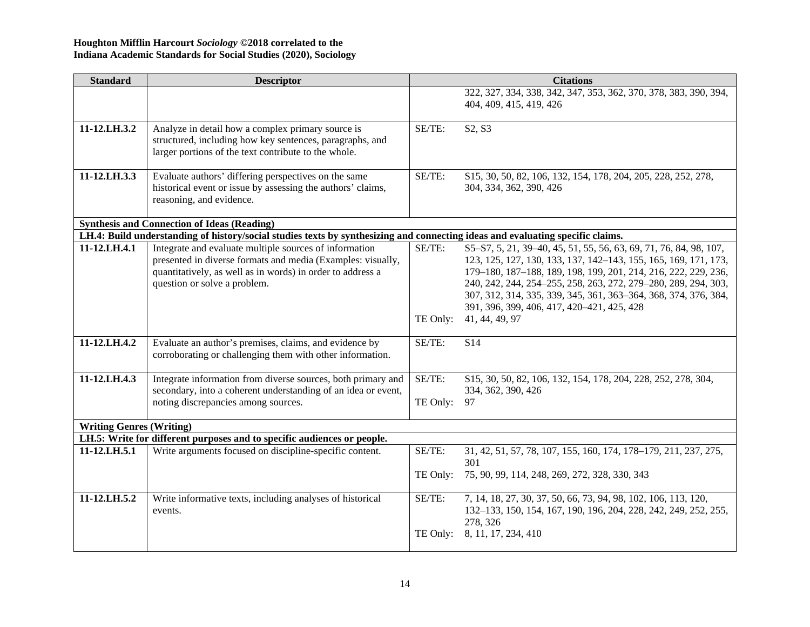| <b>Standard</b>                                                                                                                | <b>Descriptor</b>                                                       |          | <b>Citations</b>                                                                                              |  |  |  |
|--------------------------------------------------------------------------------------------------------------------------------|-------------------------------------------------------------------------|----------|---------------------------------------------------------------------------------------------------------------|--|--|--|
|                                                                                                                                |                                                                         |          | 322, 327, 334, 338, 342, 347, 353, 362, 370, 378, 383, 390, 394,                                              |  |  |  |
|                                                                                                                                |                                                                         |          | 404, 409, 415, 419, 426                                                                                       |  |  |  |
| 11-12.LH.3.2                                                                                                                   | Analyze in detail how a complex primary source is                       | SE/TE:   | S2, S3                                                                                                        |  |  |  |
|                                                                                                                                | structured, including how key sentences, paragraphs, and                |          |                                                                                                               |  |  |  |
|                                                                                                                                | larger portions of the text contribute to the whole.                    |          |                                                                                                               |  |  |  |
|                                                                                                                                |                                                                         |          |                                                                                                               |  |  |  |
| 11-12.LH.3.3                                                                                                                   | Evaluate authors' differing perspectives on the same                    | SE/TE:   | \$15, 30, 50, 82, 106, 132, 154, 178, 204, 205, 228, 252, 278,                                                |  |  |  |
|                                                                                                                                | historical event or issue by assessing the authors' claims,             |          | 304, 334, 362, 390, 426                                                                                       |  |  |  |
|                                                                                                                                | reasoning, and evidence.                                                |          |                                                                                                               |  |  |  |
|                                                                                                                                | <b>Synthesis and Connection of Ideas (Reading)</b>                      |          |                                                                                                               |  |  |  |
| LH.4: Build understanding of history/social studies texts by synthesizing and connecting ideas and evaluating specific claims. |                                                                         |          |                                                                                                               |  |  |  |
| 11-12.LH.4.1                                                                                                                   | Integrate and evaluate multiple sources of information                  | SE/TE:   | \$5-\$7, 5, 21, 39-40, 45, 51, 55, 56, 63, 69, 71, 76, 84, 98, 107,                                           |  |  |  |
|                                                                                                                                | presented in diverse formats and media (Examples: visually,             |          | 123, 125, 127, 130, 133, 137, 142–143, 155, 165, 169, 171, 173,                                               |  |  |  |
|                                                                                                                                | quantitatively, as well as in words) in order to address a              |          | 179-180, 187-188, 189, 198, 199, 201, 214, 216, 222, 229, 236,                                                |  |  |  |
|                                                                                                                                | question or solve a problem.                                            |          | 240, 242, 244, 254-255, 258, 263, 272, 279-280, 289, 294, 303,                                                |  |  |  |
|                                                                                                                                |                                                                         |          | 307, 312, 314, 335, 339, 345, 361, 363-364, 368, 374, 376, 384,<br>391, 396, 399, 406, 417, 420-421, 425, 428 |  |  |  |
|                                                                                                                                |                                                                         | TE Only: | 41, 44, 49, 97                                                                                                |  |  |  |
|                                                                                                                                |                                                                         |          |                                                                                                               |  |  |  |
| 11-12.LH.4.2                                                                                                                   | Evaluate an author's premises, claims, and evidence by                  | SE/TE:   | S14                                                                                                           |  |  |  |
|                                                                                                                                | corroborating or challenging them with other information.               |          |                                                                                                               |  |  |  |
|                                                                                                                                |                                                                         |          |                                                                                                               |  |  |  |
| 11-12.LH.4.3                                                                                                                   | Integrate information from diverse sources, both primary and            | SE/TE:   | \$15, 30, 50, 82, 106, 132, 154, 178, 204, 228, 252, 278, 304,                                                |  |  |  |
|                                                                                                                                | secondary, into a coherent understanding of an idea or event,           |          | 334, 362, 390, 426                                                                                            |  |  |  |
|                                                                                                                                | noting discrepancies among sources.                                     | TE Only: | 97                                                                                                            |  |  |  |
| <b>Writing Genres (Writing)</b>                                                                                                |                                                                         |          |                                                                                                               |  |  |  |
|                                                                                                                                | LH.5: Write for different purposes and to specific audiences or people. |          |                                                                                                               |  |  |  |
| 11-12.LH.5.1                                                                                                                   | Write arguments focused on discipline-specific content.                 | SE/TE:   | 31, 42, 51, 57, 78, 107, 155, 160, 174, 178-179, 211, 237, 275,                                               |  |  |  |
|                                                                                                                                |                                                                         |          | 301                                                                                                           |  |  |  |
|                                                                                                                                |                                                                         | TE Only: | 75, 90, 99, 114, 248, 269, 272, 328, 330, 343                                                                 |  |  |  |
| 11-12.LH.5.2                                                                                                                   | Write informative texts, including analyses of historical               | SE/TE:   | 7, 14, 18, 27, 30, 37, 50, 66, 73, 94, 98, 102, 106, 113, 120,                                                |  |  |  |
|                                                                                                                                | events.                                                                 |          | 132-133, 150, 154, 167, 190, 196, 204, 228, 242, 249, 252, 255,                                               |  |  |  |
|                                                                                                                                |                                                                         |          | 278, 326                                                                                                      |  |  |  |
|                                                                                                                                |                                                                         | TE Only: | 8, 11, 17, 234, 410                                                                                           |  |  |  |
|                                                                                                                                |                                                                         |          |                                                                                                               |  |  |  |